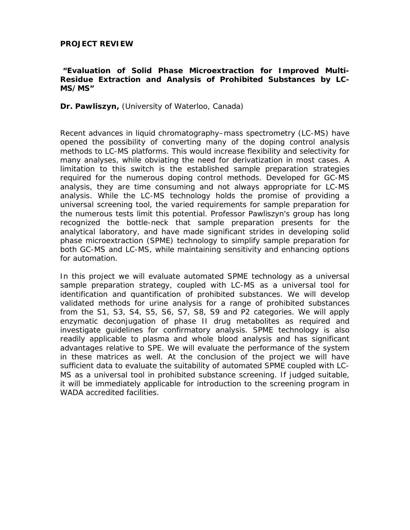## **PROJECT REVIEW**

## **"***Evaluation of Solid Phase Microextraction for Improved Multi-Residue Extraction and Analysis of Prohibited Substances by LC-MS/MS***"**

## **Dr. Pawliszyn,** (University of Waterloo, Canada)

Recent advances in liquid chromatography–mass spectrometry (LC-MS) have opened the possibility of converting many of the doping control analysis methods to LC-MS platforms. This would increase flexibility and selectivity for many analyses, while obviating the need for derivatization in most cases. A limitation to this switch is the established sample preparation strategies required for the numerous doping control methods. Developed for GC-MS analysis, they are time consuming and not always appropriate for LC-MS analysis. While the LC-MS technology holds the promise of providing a universal screening tool, the varied requirements for sample preparation for the numerous tests limit this potential. Professor Pawliszyn's group has long recognized the bottle-neck that sample preparation presents for the analytical laboratory, and have made significant strides in developing solid phase microextraction (SPME) technology to simplify sample preparation for both GC-MS and LC-MS, while maintaining sensitivity and enhancing options for automation.

In this project we will evaluate automated SPME technology as a universal sample preparation strategy, coupled with LC-MS as a universal tool for identification and quantification of prohibited substances. We will develop validated methods for urine analysis for a range of prohibited substances from the S1, S3, S4, S5, S6, S7, S8, S9 and P2 categories. We will apply enzymatic deconjugation of phase II drug metabolites as required and investigate guidelines for confirmatory analysis. SPME technology is also readily applicable to plasma and whole blood analysis and has significant advantages relative to SPE. We will evaluate the performance of the system in these matrices as well. At the conclusion of the project we will have sufficient data to evaluate the suitability of automated SPME coupled with LC-MS as a universal tool in prohibited substance screening. If judged suitable, it will be immediately applicable for introduction to the screening program in WADA accredited facilities.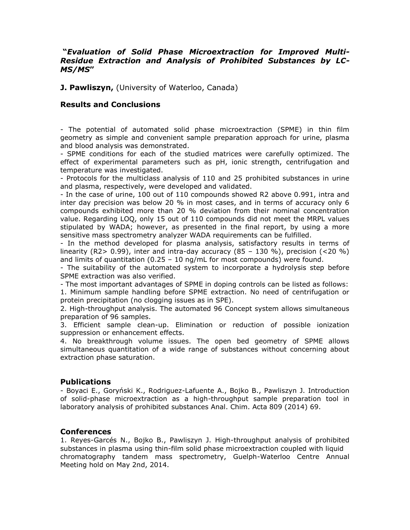# **"***Evaluation of Solid Phase Microextraction for Improved Multi-Residue Extraction and Analysis of Prohibited Substances by LC-MS/MS***"**

**J. Pawliszyn,** (University of Waterloo, Canada)

## **Results and Conclusions**

- The potential of automated solid phase microextraction (SPME) in thin film geometry as simple and convenient sample preparation approach for urine, plasma and blood analysis was demonstrated.

- SPME conditions for each of the studied matrices were carefully optimized. The effect of experimental parameters such as pH, ionic strength, centrifugation and temperature was investigated.

- Protocols for the multiclass analysis of 110 and 25 prohibited substances in urine and plasma, respectively, were developed and validated.

- In the case of urine, 100 out of 110 compounds showed R2 above 0.991, intra and inter day precision was below 20 % in most cases, and in terms of accuracy only 6 compounds exhibited more than 20 % deviation from their nominal concentration value. Regarding LOQ, only 15 out of 110 compounds did not meet the MRPL values stipulated by WADA; however, as presented in the final report, by using a more sensitive mass spectrometry analyzer WADA requirements can be fulfilled.

- In the method developed for plasma analysis, satisfactory results in terms of linearity (R2> 0.99), inter and intra-day accuracy (85 – 130 %), precision (<20 %) and limits of quantitation  $(0.25 - 10 \text{ ng/mL}$  for most compounds) were found.

- The suitability of the automated system to incorporate a hydrolysis step before SPME extraction was also verified.

- The most important advantages of SPME in doping controls can be listed as follows: 1. Minimum sample handling before SPME extraction. No need of centrifugation or protein precipitation (no clogging issues as in SPE).

2. High-throughput analysis. The automated 96 Concept system allows simultaneous preparation of 96 samples.

3. Efficient sample clean-up. Elimination or reduction of possible ionization suppression or enhancement effects.

4. No breakthrough volume issues. The open bed geometry of SPME allows simultaneous quantitation of a wide range of substances without concerning about extraction phase saturation.

### **Publications**

- Boyaci E., Goryński K., Rodriguez-Lafuente A., Bojko B., Pawliszyn J. Introduction of solid-phase microextraction as a high-throughput sample preparation tool in laboratory analysis of prohibited substances Anal. Chim. Acta 809 (2014) 69.

### **Conferences**

1. Reyes-Garcés N., Bojko B., Pawliszyn J. High-throughput analysis of prohibited substances in plasma using thin-film solid phase microextraction coupled with liquid chromatography tandem mass spectrometry, Guelph-Waterloo Centre Annual Meeting hold on May 2nd, 2014.